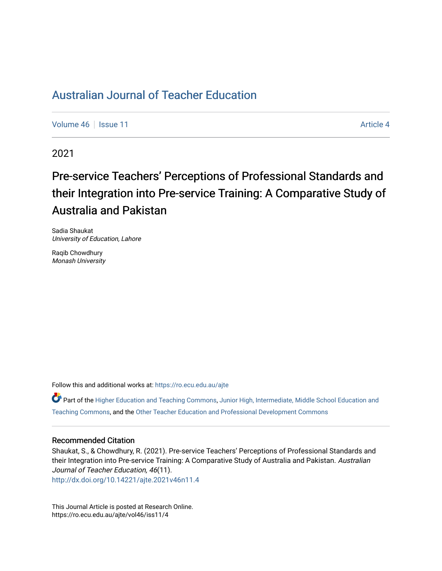# [Australian Journal of Teacher Education](https://ro.ecu.edu.au/ajte)

[Volume 46](https://ro.ecu.edu.au/ajte/vol46) September 11 [Article 4](https://ro.ecu.edu.au/ajte/vol46/iss11/4) Article 4

2021

# Pre-service Teachers' Perceptions of Professional Standards and their Integration into Pre-service Training: A Comparative Study of Australia and Pakistan

Sadia Shaukat University of Education, Lahore

Raqib Chowdhury Monash University

Follow this and additional works at: [https://ro.ecu.edu.au/ajte](https://ro.ecu.edu.au/ajte?utm_source=ro.ecu.edu.au%2Fajte%2Fvol46%2Fiss11%2F4&utm_medium=PDF&utm_campaign=PDFCoverPages) 

Part of the [Higher Education and Teaching Commons](http://network.bepress.com/hgg/discipline/806?utm_source=ro.ecu.edu.au%2Fajte%2Fvol46%2Fiss11%2F4&utm_medium=PDF&utm_campaign=PDFCoverPages), [Junior High, Intermediate, Middle School Education and](http://network.bepress.com/hgg/discipline/807?utm_source=ro.ecu.edu.au%2Fajte%2Fvol46%2Fiss11%2F4&utm_medium=PDF&utm_campaign=PDFCoverPages) [Teaching Commons](http://network.bepress.com/hgg/discipline/807?utm_source=ro.ecu.edu.au%2Fajte%2Fvol46%2Fiss11%2F4&utm_medium=PDF&utm_campaign=PDFCoverPages), and the [Other Teacher Education and Professional Development Commons](http://network.bepress.com/hgg/discipline/810?utm_source=ro.ecu.edu.au%2Fajte%2Fvol46%2Fiss11%2F4&utm_medium=PDF&utm_campaign=PDFCoverPages) 

#### Recommended Citation

Shaukat, S., & Chowdhury, R. (2021). Pre-service Teachers' Perceptions of Professional Standards and their Integration into Pre-service Training: A Comparative Study of Australia and Pakistan. Australian Journal of Teacher Education, 46(11).

<http://dx.doi.org/10.14221/ajte.2021v46n11.4>

This Journal Article is posted at Research Online. https://ro.ecu.edu.au/ajte/vol46/iss11/4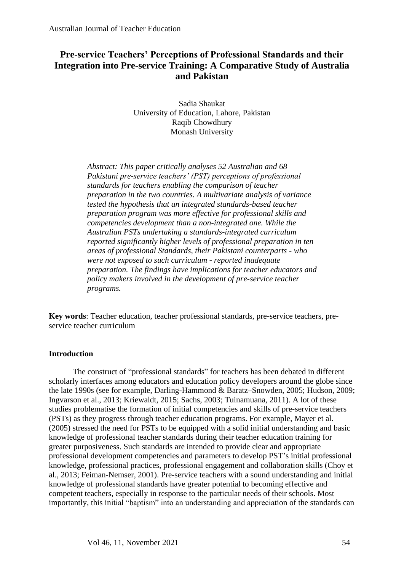# **Pre-service Teachers' Perceptions of Professional Standards and their Integration into Pre-service Training: A Comparative Study of Australia and Pakistan**

Sadia Shaukat University of Education, Lahore, Pakistan Raqib Chowdhury Monash University

*Abstract: This paper critically analyses 52 Australian and 68 Pakistani pre-service teachers' (PST) perceptions of professional standards for teachers enabling the comparison of teacher preparation in the two countries. A multivariate analysis of variance tested the hypothesis that an integrated standards-based teacher preparation program was more effective for professional skills and competencies development than a non-integrated one. While the Australian PSTs undertaking a standards-integrated curriculum reported significantly higher levels of professional preparation in ten areas of professional Standards, their Pakistani counterparts - who were not exposed to such curriculum - reported inadequate preparation. The findings have implications for teacher educators and policy makers involved in the development of pre-service teacher programs.*

**Key words**: Teacher education, teacher professional standards, pre-service teachers, preservice teacher curriculum

# **Introduction**

The construct of "professional standards" for teachers has been debated in different scholarly interfaces among educators and education policy developers around the globe since the late 1990s (see for example, Darling-Hammond & Baratz–Snowden, 2005; Hudson, 2009; Ingvarson et al., 2013; Kriewaldt, 2015; Sachs, 2003; Tuinamuana, 2011). A lot of these studies problematise the formation of initial competencies and skills of pre-service teachers (PSTs) as they progress through teacher education programs. For example, Mayer et al. (2005) stressed the need for PSTs to be equipped with a solid initial understanding and basic knowledge of professional teacher standards during their teacher education training for greater purposiveness. Such standards are intended to provide clear and appropriate professional development competencies and parameters to develop PST's initial professional knowledge, professional practices, professional engagement and collaboration skills (Choy et al., 2013; Feiman-Nemser, 2001). Pre-service teachers with a sound understanding and initial knowledge of professional standards have greater potential to becoming effective and competent teachers, especially in response to the particular needs of their schools. Most importantly, this initial "baptism" into an understanding and appreciation of the standards can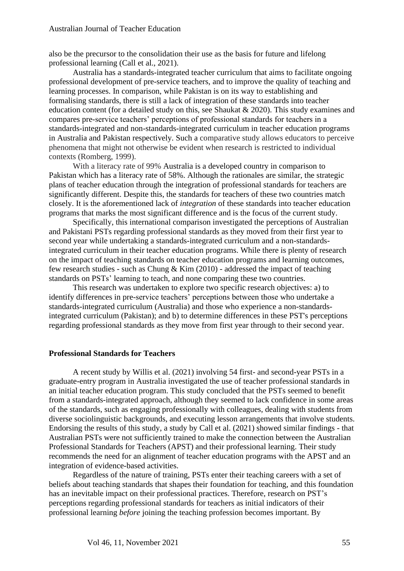also be the precursor to the consolidation their use as the basis for future and lifelong professional learning (Call et al., 2021).

Australia has a standards-integrated teacher curriculum that aims to facilitate ongoing professional development of pre-service teachers, and to improve the quality of teaching and learning processes. In comparison, while Pakistan is on its way to establishing and formalising standards, there is still a lack of integration of these standards into teacher education content (for a detailed study on this, see Shaukat & 2020). This study examines and compares pre-service teachers' perceptions of professional standards for teachers in a standards-integrated and non-standards-integrated curriculum in teacher education programs in Australia and Pakistan respectively. Such a comparative study allows educators to perceive phenomena that might not otherwise be evident when research is restricted to individual contexts (Romberg, 1999).

With a literacy rate of 99% Australia is a developed country in comparison to Pakistan which has a literacy rate of 58%. Although the rationales are similar, the strategic plans of teacher education through the integration of professional standards for teachers are significantly different. Despite this, the standards for teachers of these two countries match closely. It is the aforementioned lack of *integration* of these standards into teacher education programs that marks the most significant difference and is the focus of the current study.

Specifically, this international comparison investigated the perceptions of Australian and Pakistani PSTs regarding professional standards as they moved from their first year to second year while undertaking a standards-integrated curriculum and a non-standardsintegrated curriculum in their teacher education programs. While there is plenty of research on the impact of teaching standards on teacher education programs and learning outcomes, few research studies - such as Chung & Kim (2010) - addressed the impact of teaching standards on PSTs' learning to teach, and none comparing these two countries.

This research was undertaken to explore two specific research objectives: a) to identify differences in pre-service teachers' perceptions between those who undertake a standards-integrated curriculum (Australia) and those who experience a non-standardsintegrated curriculum (Pakistan); and b) to determine differences in these PST's perceptions regarding professional standards as they move from first year through to their second year.

#### **Professional Standards for Teachers**

A recent study by Willis et al. (2021) involving 54 first- and second-year PSTs in a graduate-entry program in Australia investigated the use of teacher professional standards in an initial teacher education program. This study concluded that the PSTs seemed to benefit from a standards-integrated approach, although they seemed to lack confidence in some areas of the standards, such as engaging professionally with colleagues, dealing with students from diverse sociolinguistic backgrounds, and executing lesson arrangements that involve students. Endorsing the results of this study, a study by Call et al. (2021) showed similar findings - that Australian PSTs were not sufficiently trained to make the connection between the Australian Professional Standards for Teachers (APST) and their professional learning. Their study recommends the need for an alignment of teacher education programs with the APST and an integration of evidence-based activities.

Regardless of the nature of training, PSTs enter their teaching careers with a set of beliefs about teaching standards that shapes their foundation for teaching, and this foundation has an inevitable impact on their professional practices. Therefore, research on PST's perceptions regarding professional standards for teachers as initial indicators of their professional learning *before* joining the teaching profession becomes important. By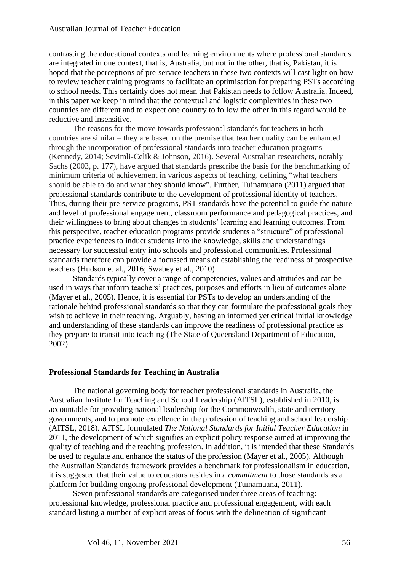contrasting the educational contexts and learning environments where professional standards are integrated in one context, that is, Australia, but not in the other, that is, Pakistan, it is hoped that the perceptions of pre-service teachers in these two contexts will cast light on how to review teacher training programs to facilitate an optimisation for preparing PSTs according to school needs. This certainly does not mean that Pakistan needs to follow Australia. Indeed, in this paper we keep in mind that the contextual and logistic complexities in these two countries are different and to expect one country to follow the other in this regard would be reductive and insensitive.

The reasons for the move towards professional standards for teachers in both countries are similar – they are based on the premise that teacher quality can be enhanced through the incorporation of professional standards into teacher education programs (Kennedy, 2014; Sevimli-Celik & Johnson, 2016). Several Australian researchers, notably Sachs (2003, p. 177), have argued that standards prescribe the basis for the benchmarking of minimum criteria of achievement in various aspects of teaching, defining "what teachers should be able to do and what they should know". Further, Tuinamuana (2011) argued that professional standards contribute to the development of professional identity of teachers. Thus, during their pre-service programs, PST standards have the potential to guide the nature and level of professional engagement, classroom performance and pedagogical practices, and their willingness to bring about changes in students' learning and learning outcomes. From this perspective, teacher education programs provide students a "structure" of professional practice experiences to induct students into the knowledge, skills and understandings necessary for successful entry into schools and professional communities. Professional standards therefore can provide a focussed means of establishing the readiness of prospective teachers (Hudson et al., 2016; Swabey et al., 2010).

Standards typically cover a range of competencies, values and attitudes and can be used in ways that inform teachers' practices, purposes and efforts in lieu of outcomes alone (Mayer et al., 2005). Hence, it is essential for PSTs to develop an understanding of the rationale behind professional standards so that they can formulate the professional goals they wish to achieve in their teaching. Arguably, having an informed yet critical initial knowledge and understanding of these standards can improve the readiness of professional practice as they prepare to transit into teaching (The State of Queensland Department of Education, 2002).

## **Professional Standards for Teaching in Australia**

The national governing body for teacher professional standards in Australia, the Australian Institute for Teaching and School Leadership (AITSL), established in 2010, is accountable for providing national leadership for the Commonwealth, state and territory governments, and to promote excellence in the profession of teaching and school leadership (AITSL, 2018). AITSL formulated *The National Standards for Initial Teacher Education* in 2011, the development of which signifies an explicit policy response aimed at improving the quality of teaching and the teaching profession. In addition, it is intended that these Standards be used to regulate and enhance the status of the profession (Mayer et al., 2005). Although the Australian Standards framework provides a benchmark for professionalism in education, it is suggested that their value to educators resides in a *commitment* to those standards as a platform for building ongoing professional development (Tuinamuana, 2011).

Seven professional standards are categorised under three areas of teaching: professional knowledge, professional practice and professional engagement, with each standard listing a number of explicit areas of focus with the delineation of significant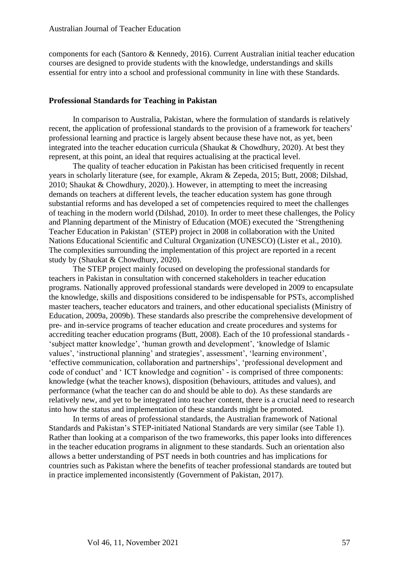components for each (Santoro & Kennedy, 2016). Current Australian initial teacher education courses are designed to provide students with the knowledge, understandings and skills essential for entry into a school and professional community in line with these Standards.

#### **Professional Standards for Teaching in Pakistan**

In comparison to Australia, Pakistan, where the formulation of standards is relatively recent, the application of professional standards to the provision of a framework for teachers' professional learning and practice is largely absent because these have not, as yet, been integrated into the teacher education curricula (Shaukat & Chowdhury, 2020). At best they represent, at this point, an ideal that requires actualising at the practical level.

The quality of teacher education in Pakistan has been criticised frequently in recent years in scholarly literature (see, for example, Akram & Zepeda, 2015; Butt, 2008; Dilshad, 2010; Shaukat & Chowdhury, 2020).). However, in attempting to meet the increasing demands on teachers at different levels, the teacher education system has gone through substantial reforms and has developed a set of competencies required to meet the challenges of teaching in the modern world (Dilshad, 2010). In order to meet these challenges, the Policy and Planning department of the Ministry of Education (MOE) executed the 'Strengthening Teacher Education in Pakistan' (STEP) project in 2008 in collaboration with the United Nations Educational Scientific and Cultural Organization (UNESCO) (Lister et al., 2010). The complexities surrounding the implementation of this project are reported in a recent study by (Shaukat & Chowdhury, 2020).

The STEP project mainly focused on developing the professional standards for teachers in Pakistan in consultation with concerned stakeholders in teacher education programs. Nationally approved professional standards were developed in 2009 to encapsulate the knowledge, skills and dispositions considered to be indispensable for PSTs, accomplished master teachers, teacher educators and trainers, and other educational specialists (Ministry of Education, 2009a, 2009b). These standards also prescribe the comprehensive development of pre- and in-service programs of teacher education and create procedures and systems for accrediting teacher education programs (Butt, 2008). Each of the 10 professional standards - 'subject matter knowledge', 'human growth and development', 'knowledge of Islamic values', 'instructional planning' and strategies', assessment', 'learning environment', 'effective communication, collaboration and partnerships', 'professional development and code of conduct' and ' ICT knowledge and cognition' - is comprised of three components: knowledge (what the teacher knows), disposition (behaviours, attitudes and values), and performance (what the teacher can do and should be able to do). As these standards are relatively new, and yet to be integrated into teacher content, there is a crucial need to research into how the status and implementation of these standards might be promoted.

In terms of areas of professional standards, the Australian framework of National Standards and Pakistan's STEP-initiated National Standards are very similar (see Table 1). Rather than looking at a comparison of the two frameworks, this paper looks into differences in the teacher education programs in alignment to these standards. Such an orientation also allows a better understanding of PST needs in both countries and has implications for countries such as Pakistan where the benefits of teacher professional standards are touted but in practice implemented inconsistently (Government of Pakistan, 2017).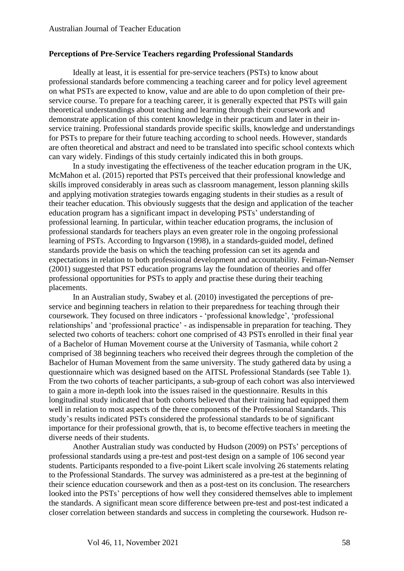# **Perceptions of Pre-Service Teachers regarding Professional Standards**

Ideally at least, it is essential for pre-service teachers (PSTs) to know about professional standards before commencing a teaching career and for policy level agreement on what PSTs are expected to know, value and are able to do upon completion of their preservice course. To prepare for a teaching career, it is generally expected that PSTs will gain theoretical understandings about teaching and learning through their coursework and demonstrate application of this content knowledge in their practicum and later in their inservice training. Professional standards provide specific skills, knowledge and understandings for PSTs to prepare for their future teaching according to school needs. However, standards are often theoretical and abstract and need to be translated into specific school contexts which can vary widely. Findings of this study certainly indicated this in both groups.

In a study investigating the effectiveness of the teacher education program in the UK, McMahon et al. (2015) reported that PSTs perceived that their professional knowledge and skills improved considerably in areas such as classroom management, lesson planning skills and applying motivation strategies towards engaging students in their studies as a result of their teacher education. This obviously suggests that the design and application of the teacher education program has a significant impact in developing PSTs' understanding of professional learning. In particular, within teacher education programs, the inclusion of professional standards for teachers plays an even greater role in the ongoing professional learning of PSTs. According to Ingvarson (1998), in a standards-guided model, defined standards provide the basis on which the teaching profession can set its agenda and expectations in relation to both professional development and accountability. Feiman-Nemser (2001) suggested that PST education programs lay the foundation of theories and offer professional opportunities for PSTs to apply and practise these during their teaching placements.

In an Australian study, Swabey et al. (2010) investigated the perceptions of preservice and beginning teachers in relation to their preparedness for teaching through their coursework. They focused on three indicators - 'professional knowledge', 'professional relationships' and 'professional practice' - as indispensable in preparation for teaching. They selected two cohorts of teachers: cohort one comprised of 43 PSTs enrolled in their final year of a Bachelor of Human Movement course at the University of Tasmania, while cohort 2 comprised of 38 beginning teachers who received their degrees through the completion of the Bachelor of Human Movement from the same university. The study gathered data by using a questionnaire which was designed based on the AITSL Professional Standards (see Table 1). From the two cohorts of teacher participants, a sub-group of each cohort was also interviewed to gain a more in-depth look into the issues raised in the questionnaire. Results in this longitudinal study indicated that both cohorts believed that their training had equipped them well in relation to most aspects of the three components of the Professional Standards. This study's results indicated PSTs considered the professional standards to be of significant importance for their professional growth, that is, to become effective teachers in meeting the diverse needs of their students.

Another Australian study was conducted by Hudson (2009) on PSTs' perceptions of professional standards using a pre-test and post-test design on a sample of 106 second year students. Participants responded to a five-point Likert scale involving 26 statements relating to the Professional Standards. The survey was administered as a pre-test at the beginning of their science education coursework and then as a post-test on its conclusion. The researchers looked into the PSTs' perceptions of how well they considered themselves able to implement the standards. A significant mean score difference between pre-test and post-test indicated a closer correlation between standards and success in completing the coursework. Hudson re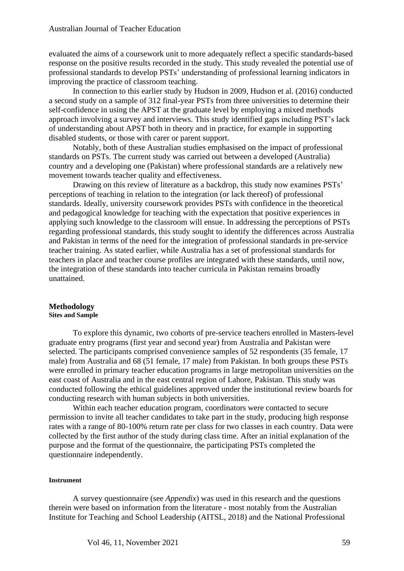evaluated the aims of a coursework unit to more adequately reflect a specific standards-based response on the positive results recorded in the study. This study revealed the potential use of professional standards to develop PSTs' understanding of professional learning indicators in improving the practice of classroom teaching.

In connection to this earlier study by Hudson in 2009, Hudson et al. (2016) conducted a second study on a sample of 312 final-year PSTs from three universities to determine their self-confidence in using the APST at the graduate level by employing a mixed methods approach involving a survey and interviews. This study identified gaps including PST's lack of understanding about APST both in theory and in practice, for example in supporting disabled students, or those with carer or parent support.

Notably, both of these Australian studies emphasised on the impact of professional standards on PSTs. The current study was carried out between a developed (Australia) country and a developing one (Pakistan) where professional standards are a relatively new movement towards teacher quality and effectiveness.

Drawing on this review of literature as a backdrop, this study now examines PSTs' perceptions of teaching in relation to the integration (or lack thereof) of professional standards. Ideally, university coursework provides PSTs with confidence in the theoretical and pedagogical knowledge for teaching with the expectation that positive experiences in applying such knowledge to the classroom will ensue. In addressing the perceptions of PSTs regarding professional standards, this study sought to identify the differences across Australia and Pakistan in terms of the need for the integration of professional standards in pre-service teacher training. As stated earlier, while Australia has a set of professional standards for teachers in place and teacher course profiles are integrated with these standards, until now, the integration of these standards into teacher curricula in Pakistan remains broadly unattained.

#### **Methodology**

#### **Sites and Sample**

To explore this dynamic, two cohorts of pre-service teachers enrolled in Masters-level graduate entry programs (first year and second year) from Australia and Pakistan were selected. The participants comprised convenience samples of 52 respondents (35 female, 17 male) from Australia and 68 (51 female, 17 male) from Pakistan. In both groups these PSTs were enrolled in primary teacher education programs in large metropolitan universities on the east coast of Australia and in the east central region of Lahore, Pakistan. This study was conducted following the ethical guidelines approved under the institutional review boards for conducting research with human subjects in both universities.

Within each teacher education program, coordinators were contacted to secure permission to invite all teacher candidates to take part in the study, producing high response rates with a range of 80-100% return rate per class for two classes in each country. Data were collected by the first author of the study during class time. After an initial explanation of the purpose and the format of the questionnaire, the participating PSTs completed the questionnaire independently.

#### **Instrument**

A survey questionnaire (see *Appendix*) was used in this research and the questions therein were based on information from the literature - most notably from the Australian Institute for Teaching and School Leadership (AITSL, 2018) and the National Professional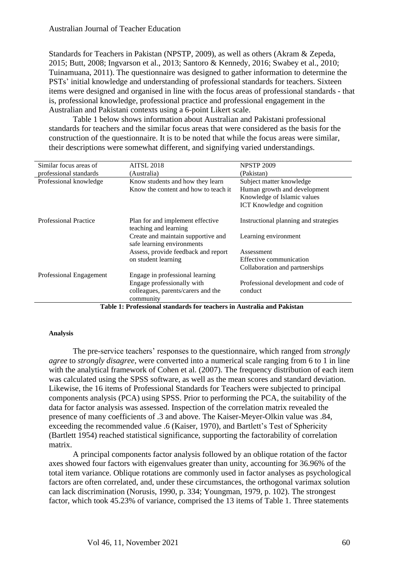Standards for Teachers in Pakistan (NPSTP, 2009), as well as others (Akram & Zepeda, 2015; Butt, 2008; Ingvarson et al., 2013; Santoro & Kennedy, 2016; Swabey et al., 2010; Tuinamuana, 2011). The questionnaire was designed to gather information to determine the PSTs' initial knowledge and understanding of professional standards for teachers. Sixteen items were designed and organised in line with the focus areas of professional standards - that is, professional knowledge, professional practice and professional engagement in the Australian and Pakistani contexts using a 6-point Likert scale.

Table 1 below shows information about Australian and Pakistani professional standards for teachers and the similar focus areas that were considered as the basis for the construction of the questionnaire. It is to be noted that while the focus areas were similar, their descriptions were somewhat different, and signifying varied understandings.

| Similar focus areas of       | <b>AITSL 2018</b>                                                | <b>NPSTP 2009</b>                                                |
|------------------------------|------------------------------------------------------------------|------------------------------------------------------------------|
| professional standards       | (Australia)                                                      | (Pakistan)                                                       |
| Professional knowledge       | Know students and how they learn                                 | Subject matter knowledge                                         |
|                              | Know the content and how to teach it                             | Human growth and development                                     |
|                              |                                                                  | Knowledge of Islamic values                                      |
|                              |                                                                  | ICT Knowledge and cognition                                      |
| <b>Professional Practice</b> | Plan for and implement effective<br>teaching and learning        | Instructional planning and strategies                            |
|                              | Create and maintain supportive and<br>safe learning environments | Learning environment                                             |
|                              | Assess, provide feedback and report                              | Assessment                                                       |
|                              | on student learning                                              | Effective communication                                          |
|                              |                                                                  | Collaboration and partnerships                                   |
| Professional Engagement      | Engage in professional learning                                  |                                                                  |
|                              | Engage professionally with                                       | Professional development and code of                             |
|                              | colleagues, parents/carers and the                               | conduct                                                          |
| - - - - -                    | community                                                        | $\bullet$ $\bullet$ $\bullet$ $\bullet$ $\bullet$ $\bullet$<br>. |

**Table 1: Professional standards for teachers in Australia and Pakistan**

#### **Analysis**

The pre-service teachers' responses to the questionnaire, which ranged from *strongly agree* to *strongly disagree*, were converted into a numerical scale ranging from 6 to 1 in line with the analytical framework of Cohen et al. (2007). The frequency distribution of each item was calculated using the SPSS software, as well as the mean scores and standard deviation. Likewise, the 16 items of Professional Standards for Teachers were subjected to principal components analysis (PCA) using SPSS. Prior to performing the PCA, the suitability of the data for factor analysis was assessed. Inspection of the correlation matrix revealed the presence of many coefficients of .3 and above. The Kaiser-Meyer-Olkin value was .84, exceeding the recommended value .6 (Kaiser, 1970), and Bartlett's Test of Sphericity (Bartlett 1954) reached statistical significance, supporting the factorability of correlation matrix.

A principal components factor analysis followed by an oblique rotation of the factor axes showed four factors with eigenvalues greater than unity, accounting for 36.96% of the total item variance. Oblique rotations are commonly used in factor analyses as psychological factors are often correlated, and, under these circumstances, the orthogonal varimax solution can lack discrimination (Norusis, 1990, p. 334; Youngman, 1979, p. 102). The strongest factor, which took 45.23% of variance, comprised the 13 items of Table 1. Three statements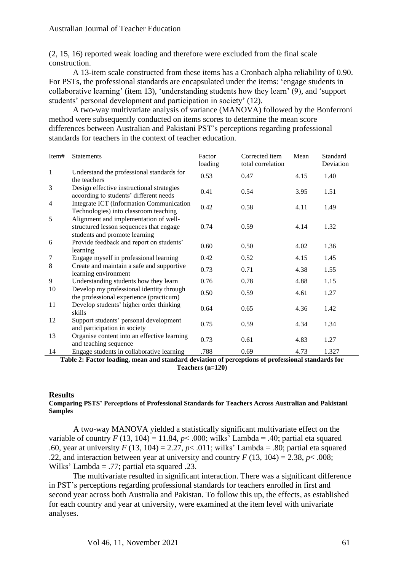(2, 15, 16) reported weak loading and therefore were excluded from the final scale construction.

A 13-item scale constructed from these items has a Cronbach alpha reliability of 0.90. For PSTs, the professional standards are encapsulated under the items: 'engage students in collaborative learning' (item 13), 'understanding students how they learn' (9), and 'support students' personal development and participation in society' (12).

A two-way multivariate analysis of variance (MANOVA) followed by the Bonferroni method were subsequently conducted on items scores to determine the mean score differences between Australian and Pakistani PST's perceptions regarding professional standards for teachers in the context of teacher education.

| Item#          | <b>Statements</b>                                                                                                 | Factor  | Corrected item    | Mean | Standard  |
|----------------|-------------------------------------------------------------------------------------------------------------------|---------|-------------------|------|-----------|
|                |                                                                                                                   | loading | total correlation |      | Deviation |
| $\mathbf{1}$   | Understand the professional standards for<br>the teachers                                                         | 0.53    | 0.47              | 4.15 | 1.40      |
| 3              | Design effective instructional strategies<br>according to students' different needs                               | 0.41    | 0.54              | 3.95 | 1.51      |
| $\overline{4}$ | Integrate ICT (Information Communication<br>Technologies) into classroom teaching                                 | 0.42    | 0.58              | 4.11 | 1.49      |
| 5              | Alignment and implementation of well-<br>structured lesson sequences that engage<br>students and promote learning | 0.74    | 0.59              | 4.14 | 1.32      |
| 6              | Provide feedback and report on students'<br>learning                                                              | 0.60    | 0.50              | 4.02 | 1.36      |
| $\tau$         | Engage myself in professional learning                                                                            | 0.42    | 0.52              | 4.15 | 1.45      |
| 8              | Create and maintain a safe and supportive<br>learning environment                                                 | 0.73    | 0.71              | 4.38 | 1.55      |
| 9              | Understanding students how they learn                                                                             | 0.76    | 0.78              | 4.88 | 1.15      |
| 10             | Develop my professional identity through<br>the professional experience (practicum)                               | 0.50    | 0.59              | 4.61 | 1.27      |
| 11             | Develop students' higher order thinking<br>skills                                                                 | 0.64    | 0.65              | 4.36 | 1.42      |
| 12             | Support students' personal development<br>and participation in society                                            | 0.75    | 0.59              | 4.34 | 1.34      |
| 13             | Organise content into an effective learning<br>and teaching sequence                                              | 0.73    | 0.61              | 4.83 | 1.27      |
| 14             | Engage students in collaborative learning                                                                         | .788    | 0.69              | 4.73 | 1.327     |

**Table 2: Factor loading, mean and standard deviation of perceptions of professional standards for Teachers (n=120)**

## **Results**

#### **Comparing PSTS' Perceptions of Professional Standards for Teachers Across Australian and Pakistani Samples**

A two-way MANOVA yielded a statistically significant multivariate effect on the variable of country  $F(13, 104) = 11.84$ ,  $p < .000$ ; wilks' Lambda = .40; partial eta squared .60, year at university  $F(13, 104) = 2.27$ ,  $p < .011$ ; wilks' Lambda = .80; partial eta squared .22, and interaction between year at university and country  $F(13, 104) = 2.38$ ,  $p < .008$ ; Wilks' Lambda = .77; partial eta squared .23.

The multivariate resulted in significant interaction. There was a significant difference in PST's perceptions regarding professional standards for teachers enrolled in first and second year across both Australia and Pakistan. To follow this up, the effects, as established for each country and year at university, were examined at the item level with univariate analyses.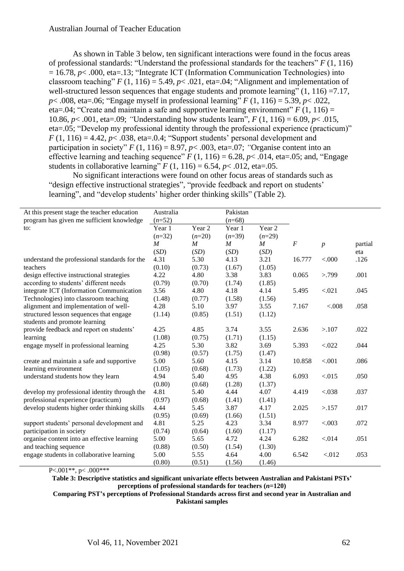As shown in Table 3 below, ten significant interactions were found in the focus areas of professional standards: "Understand the professional standards for the teachers" *F* (1, 116) = 16.78, *p*< .000, eta=.13; "Integrate ICT (Information Communication Technologies) into classroom teaching"  $F(1, 116) = 5.49$ ,  $p < .021$ , eta=.04; "Alignment and implementation of well-structured lesson sequences that engage students and promote learning"  $(1, 116) = 7.17$ , *p*< .008, eta=.06; "Engage myself in professional learning" *F* (1, 116) = 5.39, *p*< .022. eta=.04: "Create and maintain a safe and supportive learning environment"  $F(1, 116) =$ 10.86, *p*< .001, eta=.09; *"*Understanding how students learn", *F* (1, 116) = 6.09, *p*< .015, eta=.05; "Develop my professional identity through the professional experience (practicum)"  $F(1, 116) = 4.42$ ,  $p < .038$ , eta= $.0.4$ ; "Support students' personal development and participation in society"  $F(1, 116) = 8.97$ ,  $p < .003$ , eta=.07; "Organise content into an effective learning and teaching sequence"  $F(1, 116) = 6.28$ ,  $p < .014$ , eta=.05; and, "Engage students in collaborative learning"  $F(1, 116) = 6.54$ ,  $p < .012$ , eta=.05.

No significant interactions were found on other focus areas of standards such as "design effective instructional strategies", "provide feedback and report on students' learning", and "develop students' higher order thinking skills" (Table 2).

| At this present stage the teacher education   | Australia        |                  | Pakistan         |                   |          |                  |         |
|-----------------------------------------------|------------------|------------------|------------------|-------------------|----------|------------------|---------|
| program has given me sufficient knowledge     | $(n=52)$         |                  | $(n=68)$         |                   |          |                  |         |
| to:                                           | Year 1           | Year 2           | Year 1           | Year <sub>2</sub> |          |                  |         |
|                                               | $(n=32)$         | $(n=20)$         | $(n=39)$         | $(n=29)$          |          |                  |         |
|                                               | $\boldsymbol{M}$ | $\boldsymbol{M}$ | $\boldsymbol{M}$ | $\boldsymbol{M}$  | $\cal F$ | $\boldsymbol{p}$ | partial |
|                                               | (SD)             | (SD)             | (SD)             | (SD)              |          |                  | eta     |
| understand the professional standards for the | 4.31             | 5.30             | 4.13             | 3.21              | 16.777   | < 0.000          | .126    |
| teachers                                      | (0.10)           | (0.73)           | (1.67)           | (1.05)            |          |                  |         |
| design effective instructional strategies     | 4.22             | 4.80             | 3.38             | 3.83              | 0.065    | > 799            | .001    |
| according to students' different needs        | (0.79)           | (0.70)           | (1.74)           | (1.85)            |          |                  |         |
| integrate ICT (Information Communication      | 3.56             | 4.80             | 4.18             | 4.14              | 5.495    | < .021           | .045    |
| Technologies) into classroom teaching         | (1.48)           | (0.77)           | (1.58)           | (1.56)            |          |                  |         |
| alignment and implementation of well-         | 4.28             | 5.10             | 3.97             | 3.55              | 7.167    | < 0.008          | .058    |
| structured lesson sequences that engage       | (1.14)           | (0.85)           | (1.51)           | (1.12)            |          |                  |         |
| students and promote learning                 |                  |                  |                  |                   |          |                  |         |
| provide feedback and report on students'      | 4.25             | 4.85             | 3.74             | 3.55              | 2.636    | >107             | .022    |
| learning                                      | (1.08)           | (0.75)           | (1.71)           | (1.15)            |          |                  |         |
| engage myself in professional learning        | 4.25             | 5.30             | 3.82             | 3.69              | 5.393    | < 0.022          | .044    |
|                                               | (0.98)           | (0.57)           | (1.75)           | (1.47)            |          |                  |         |
| create and maintain a safe and supportive     | 5.00             | 5.60             | 4.15             | 3.14              | 10.858   | < .001           | .086    |
| learning environment                          | (1.05)           | (0.68)           | (1.73)           | (1.22)            |          |                  |         |
| understand students how they learn            | 4.94             | 5.40             | 4.95             | 4.38              | 6.093    | < 0.015          | .050    |
|                                               | (0.80)           | (0.68)           | (1.28)           | (1.37)            |          |                  |         |
| develop my professional identity through the  | 4.81             | 5.40             | 4.44             | 4.07              | 4.419    | < 0.038          | .037    |
| professional experience (practicum)           | (0.97)           | (0.68)           | (1.41)           | (1.41)            |          |                  |         |
| develop students higher order thinking skills | 4.44             | 5.45             | 3.87             | 4.17              | 2.025    | >157             | .017    |
|                                               | (0.95)           | (0.69)           | (1.66)           | (1.51)            |          |                  |         |
| support students' personal development and    | 4.81             | 5.25             | 4.23             | 3.34              | 8.977    | < .003           | .072    |
| participation in society                      | (0.74)           | (0.64)           | (1.60)           | (1.17)            |          |                  |         |
| organise content into an effective learning   | 5.00             | 5.65             | 4.72             | 4.24              | 6.282    | < 0.014          | .051    |
| and teaching sequence                         | (0.88)           | (0.50)           | (1.54)           | (1.30)            |          |                  |         |
| engage students in collaborative learning     | 5.00             | 5.55             | 4.64             | 4.00              | 6.542    | < 012            | .053    |
|                                               | (0.80)           | (0.51)           | (1.56)           | (1.46)            |          |                  |         |

P<.001\*\*, p< .000\*\*\*

**Table 3: Descriptive statistics and significant univariate effects between Australian and Pakistani PSTs' perceptions of professional standards for teachers (***n***=120)**

**Comparing PST's perceptions of Professional Standards across first and second year in Australian and Pakistani samples**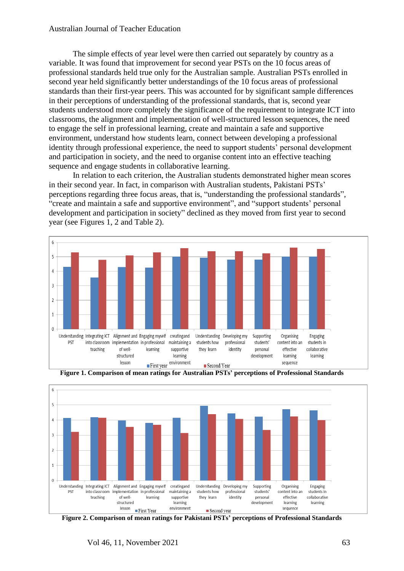# Australian Journal of Teacher Education

The simple effects of year level were then carried out separately by country as a variable. It was found that improvement for second year PSTs on the 10 focus areas of professional standards held true only for the Australian sample. Australian PSTs enrolled in second year held significantly better understandings of the 10 focus areas of professional standards than their first-year peers. This was accounted for by significant sample differences in their perceptions of understanding of the professional standards, that is, second year students understood more completely the significance of the requirement to integrate ICT into classrooms, the alignment and implementation of well-structured lesson sequences, the need to engage the self in professional learning, create and maintain a safe and supportive environment, understand how students learn, connect between developing a professional identity through professional experience, the need to support students' personal development and participation in society, and the need to organise content into an effective teaching sequence and engage students in collaborative learning.

In relation to each criterion, the Australian students demonstrated higher mean scores in their second year. In fact, in comparison with Australian students, Pakistani PSTs' perceptions regarding three focus areas, that is, "understanding the professional standards", "create and maintain a safe and supportive environment", and "support students' personal development and participation in society" declined as they moved from first year to second year (see Figures 1, 2 and Table 2).



**Figure 1. Comparison of mean ratings for Australian PSTs' perceptions of Professional Standards**



**Figure 2. Comparison of mean ratings for Pakistani PSTs' perceptions of Professional Standards**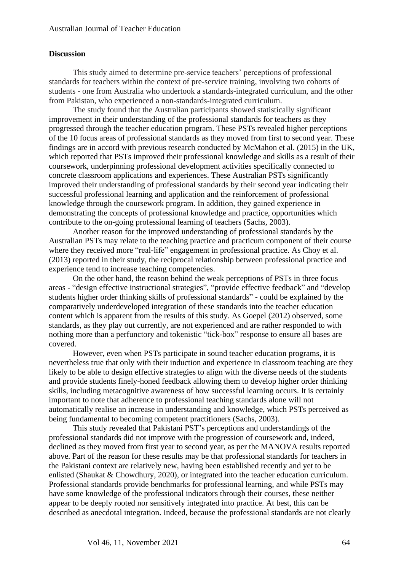# **Discussion**

This study aimed to determine pre-service teachers' perceptions of professional standards for teachers within the context of pre-service training, involving two cohorts of students - one from Australia who undertook a standards-integrated curriculum, and the other from Pakistan, who experienced a non-standards-integrated curriculum.

The study found that the Australian participants showed statistically significant improvement in their understanding of the professional standards for teachers as they progressed through the teacher education program. These PSTs revealed higher perceptions of the 10 focus areas of professional standards as they moved from first to second year. These findings are in accord with previous research conducted by McMahon et al. (2015) in the UK, which reported that PSTs improved their professional knowledge and skills as a result of their coursework, underpinning professional development activities specifically connected to concrete classroom applications and experiences. These Australian PSTs significantly improved their understanding of professional standards by their second year indicating their successful professional learning and application and the reinforcement of professional knowledge through the coursework program. In addition, they gained experience in demonstrating the concepts of professional knowledge and practice, opportunities which contribute to the on-going professional learning of teachers (Sachs, 2003).

Another reason for the improved understanding of professional standards by the Australian PSTs may relate to the teaching practice and practicum component of their course where they received more "real-life" engagement in professional practice. As Choy et al. (2013) reported in their study, the reciprocal relationship between professional practice and experience tend to increase teaching competencies.

On the other hand, the reason behind the weak perceptions of PSTs in three focus areas - "design effective instructional strategies", "provide effective feedback" and "develop students higher order thinking skills of professional standards" - could be explained by the comparatively underdeveloped integration of these standards into the teacher education content which is apparent from the results of this study. As Goepel (2012) observed, some standards, as they play out currently, are not experienced and are rather responded to with nothing more than a perfunctory and tokenistic "tick-box" response to ensure all bases are covered.

However, even when PSTs participate in sound teacher education programs, it is nevertheless true that only with their induction and experience in classroom teaching are they likely to be able to design effective strategies to align with the diverse needs of the students and provide students finely-honed feedback allowing them to develop higher order thinking skills, including metacognitive awareness of how successful learning occurs. It is certainly important to note that adherence to professional teaching standards alone will not automatically realise an increase in understanding and knowledge, which PSTs perceived as being fundamental to becoming competent practitioners (Sachs, 2003).

This study revealed that Pakistani PST's perceptions and understandings of the professional standards did not improve with the progression of coursework and, indeed, declined as they moved from first year to second year, as per the MANOVA results reported above. Part of the reason for these results may be that professional standards for teachers in the Pakistani context are relatively new, having been established recently and yet to be enlisted (Shaukat & Chowdhury, 2020), or integrated into the teacher education curriculum. Professional standards provide benchmarks for professional learning, and while PSTs may have some knowledge of the professional indicators through their courses, these neither appear to be deeply rooted nor sensitively integrated into practice. At best, this can be described as anecdotal integration. Indeed, because the professional standards are not clearly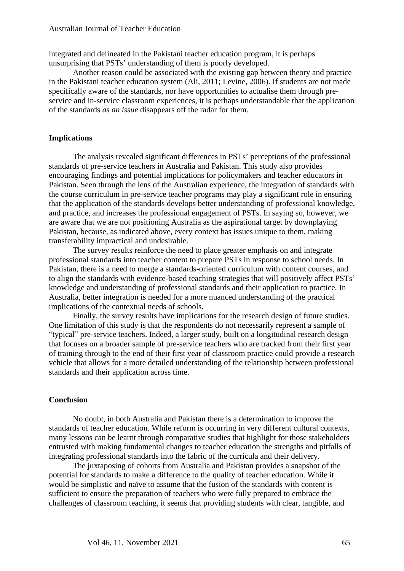integrated and delineated in the Pakistani teacher education program, it is perhaps unsurprising that PSTs' understanding of them is poorly developed.

Another reason could be associated with the existing gap between theory and practice in the Pakistani teacher education system (Ali, 2011; Levine, 2006). If students are not made specifically aware of the standards, nor have opportunities to actualise them through preservice and in-service classroom experiences, it is perhaps understandable that the application of the standards *as an issue* disappears off the radar for them.

# **Implications**

The analysis revealed significant differences in PSTs' perceptions of the professional standards of pre-service teachers in Australia and Pakistan. This study also provides encouraging findings and potential implications for policymakers and teacher educators in Pakistan. Seen through the lens of the Australian experience, the integration of standards with the course curriculum in pre-service teacher programs may play a significant role in ensuring that the application of the standards develops better understanding of professional knowledge, and practice, and increases the professional engagement of PSTs. In saying so, however, we are aware that we are not positioning Australia as the aspirational target by downplaying Pakistan, because, as indicated above, every context has issues unique to them, making transferability impractical and undesirable.

The survey results reinforce the need to place greater emphasis on and integrate professional standards into teacher content to prepare PSTs in response to school needs. In Pakistan, there is a need to merge a standards-oriented curriculum with content courses, and to align the standards with evidence-based teaching strategies that will positively affect PSTs' knowledge and understanding of professional standards and their application to practice. In Australia, better integration is needed for a more nuanced understanding of the practical implications of the contextual needs of schools.

Finally, the survey results have implications for the research design of future studies. One limitation of this study is that the respondents do not necessarily represent a sample of "typical" pre-service teachers. Indeed, a larger study, built on a longitudinal research design that focuses on a broader sample of pre-service teachers who are tracked from their first year of training through to the end of their first year of classroom practice could provide a research vehicle that allows for a more detailed understanding of the relationship between professional standards and their application across time.

#### **Conclusion**

No doubt, in both Australia and Pakistan there is a determination to improve the standards of teacher education. While reform is occurring in very different cultural contexts, many lessons can be learnt through comparative studies that highlight for those stakeholders entrusted with making fundamental changes to teacher education the strengths and pitfalls of integrating professional standards into the fabric of the curricula and their delivery.

The juxtaposing of cohorts from Australia and Pakistan provides a snapshot of the potential for standards to make a difference to the quality of teacher education. While it would be simplistic and naïve to assume that the fusion of the standards with content is sufficient to ensure the preparation of teachers who were fully prepared to embrace the challenges of classroom teaching, it seems that providing students with clear, tangible, and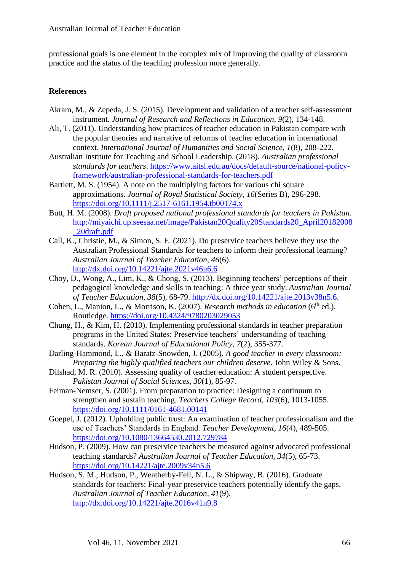professional goals is one element in the complex mix of improving the quality of classroom practice and the status of the teaching profession more generally.

# **References**

- Akram, M., & Zepeda, J. S. (2015). Development and validation of a teacher self-assessment instrument. *Journal of Research and Reflections in Education, 9*(2), 134-148.
- Ali, T. (2011). Understanding how practices of teacher education in Pakistan compare with the popular theories and narrative of reforms of teacher education in international context. *International Journal of Humanities and Social Science, 1*(8), 208-222.
- Australian Institute for Teaching and School Leadership. (2018). *Australian professional standards for teachers*. [https://www.aitsl.edu.au/docs/default-source/national-policy](https://www.aitsl.edu.au/docs/default-source/national-policy-framework/australian-professional-standards-for-teachers.pdf)[framework/australian-professional-standards-for-teachers.pdf](https://www.aitsl.edu.au/docs/default-source/national-policy-framework/australian-professional-standards-for-teachers.pdf)
- Bartlett, M. S. (1954). A note on the multiplying factors for various chi square approximations. *Journal of Royal Statistical Society, 16*(Series B), 296-298. <https://doi.org/10.1111/j.2517-6161.1954.tb00174.x>
- Butt, H. M. (2008). *Draft proposed national professional standards for teachers in Pakistan*. [http://miyaichi.up.seesaa.net/image/Pakistan20Quality20Standards20\\_April20182008](http://miyaichi.up.seesaa.net/image/Pakistan20Quality20Standards20_April20182008_20draft.pdf) [\\_20draft.pdf](http://miyaichi.up.seesaa.net/image/Pakistan20Quality20Standards20_April20182008_20draft.pdf)
- Call, K., Christie, M., & Simon, S. E. (2021). Do preservice teachers believe they use the Australian Professional Standards for teachers to inform their professional learning? *Australian Journal of Teacher Education, 46*(6). <http://dx.doi.org/10.14221/ajte.2021v46n6.6>
- Choy, D., Wong, A., Lim, K., & Chong, S. (2013). Beginning teachers' perceptions of their pedagogical knowledge and skills in teaching: A three year study. *Australian Journal of Teacher Education, 38*(5), 68-79. [http://dx.doi.org/10.14221/ajte.2013v38n5.6.](http://dx.doi.org/10.14221/ajte.2013v38n5.6)
- Cohen, L., Manion, L., & Morrison, K. (2007). *Research methods in education* (6<sup>th</sup> ed.). Routledge. <https://doi.org/10.4324/9780203029053>
- Chung, H., & Kim, H. (2010). Implementing professional standards in teacher preparation programs in the United States: Preservice teachers' understanding of teaching standards. *Korean Journal of Educational Policy, 7*(2), 355-377.
- Darling-Hammond, L., & Baratz-Snowden, J. (2005). *A good teacher in every classroom: Preparing the highly qualified teachers our children deserve*. John Wiley & Sons.
- Dilshad, M. R. (2010). Assessing quality of teacher education: A student perspective. *Pakistan Journal of Social Sciences*, *30*(1), 85-97.
- Feiman-Nemser, S. (2001). From preparation to practice: Designing a continuum to strengthen and sustain teaching. *Teachers College Record, 103*(6), 1013-1055. <https://doi.org/10.1111/0161-4681.00141>
- Goepel, J. (2012). Upholding public trust: An examination of teacher professionalism and the use of Teachers' Standards in England. *Teacher Development, 16*(4), 489-505. <https://doi.org/10.1080/13664530.2012.729784>
- Hudson, P. (2009). How can preservice teachers be measured against advocated professional teaching standards? *Australian Journal of Teacher Education, 34*(5), 65-73. <https://doi.org/10.14221/ajte.2009v34n5.6>
- Hudson, S. M., Hudson, P., Weatherby-Fell, N. L., & Shipway, B. (2016). Graduate standards for teachers: Final-year preservice teachers potentially identify the gaps. *Australian Journal of Teacher Education, 41*(9). <http://dx.doi.org/10.14221/ajte.2016v41n9.8>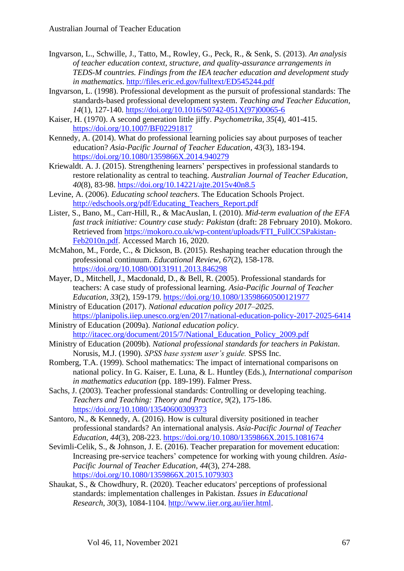- Ingvarson, L., Schwille, J., Tatto, M., Rowley, G., Peck, R., & Senk, S. (2013). *An analysis of teacher education context, structure, and quality-assurance arrangements in TEDS-M countries. Findings from the IEA teacher education and development study in mathematics*.<http://files.eric.ed.gov/fulltext/ED545244.pdf>
- Ingvarson, L. (1998). Professional development as the pursuit of professional standards: The standards-based professional development system. *Teaching and Teacher Education, 14*(1), 127-140. [https://doi.org/10.1016/S0742-051X\(97\)00065-6](https://doi.org/10.1016/S0742-051X(97)00065-6)
- Kaiser, H. (1970). A second generation little jiffy. *Psychometrika, 35*(4), 401-415. <https://doi.org/10.1007/BF02291817>
- Kennedy, A. (2014). What do professional learning policies say about purposes of teacher education? *Asia-Pacific Journal of Teacher Education, 43*(3), 183-194. <https://doi.org/10.1080/1359866X.2014.940279>
- Kriewaldt. A. J. (2015). Strengthening learners' perspectives in professional standards to restore relationality as central to teaching. *Australian Journal of Teacher Education, 40*(8), 83-98. <https://doi.org/10.14221/ajte.2015v40n8.5>
- Levine, A. (2006). *Educating school teachers*. The Education Schools Project. [http://edschools.org/pdf/Educating\\_Teachers\\_Report.pdf](http://edschools.org/pdf/Educating_Teachers_Report.pdf)
- Lister, S., Bano, M., Carr-Hill, R., & MacAuslan, I. (2010). *Mid-term evaluation of the EFA fast track initiative: Country case study: Pakistan* (draft: 28 February 2010). Mokoro. Retrieved from [https://mokoro.co.uk/wp-content/uploads/FTI\\_FullCCSPakistan-](https://mokoro.co.uk/wp-content/uploads/FTI_FullCCSPakistan-Feb2010n.pdf)[Feb2010n.pdf.](https://mokoro.co.uk/wp-content/uploads/FTI_FullCCSPakistan-Feb2010n.pdf) Accessed March 16, 2020.
- McMahon, M., Forde, C., & Dickson, B. (2015). Reshaping teacher education through the professional continuum. *Educational Review, 67*(2), 158-178. <https://doi.org/10.1080/00131911.2013.846298>
- Mayer, D., Mitchell, J., Macdonald, D., & Bell, R. (2005). Professional standards for teachers: A case study of professional learning. *Asia-Pacific Journal of Teacher Education*, *33*(2), 159-179. <https://doi.org/10.1080/13598660500121977>
- Ministry of Education (2017). *National education policy 2017–2025*. <https://planipolis.iiep.unesco.org/en/2017/national-education-policy-2017-2025-6414>
- Ministry of Education (2009a). *National education policy*. [http://itacec.org/document/2015/7/National\\_Education\\_Policy\\_2009.pdf](http://itacec.org/document/2015/7/National_Education_Policy_2009.pdf)
- Ministry of Education (2009b). *National professional standards for teachers in Pakistan*. Norusis, M.J. (1990). *SPSS base system user's guide.* SPSS Inc.
- Romberg, T.A. (1999). School mathematics: The impact of international comparisons on national policy. In G. Kaiser, E. Luna, & L. Huntley (Eds.), *International comparison in mathematics education* (pp. 189-199). Falmer Press.
- Sachs, J. (2003). Teacher professional standards: Controlling or developing teaching. *Teachers and Teaching: Theory and Practice, 9*(2), 175-186. <https://doi.org/10.1080/13540600309373>
- Santoro, N., & Kennedy, A. (2016). How is cultural diversity positioned in teacher professional standards? An international analysis. *Asia-Pacific Journal of Teacher Education, 44*(3), 208-223. <https://doi.org/10.1080/1359866X.2015.1081674>
- Sevimli-Celik, S., & Johnson, J. E. (2016). Teacher preparation for movement education: Increasing pre-service teachers' competence for working with young children. *Asia-Pacific Journal of Teacher Education, 44*(3), 274-288. <https://doi.org/10.1080/1359866X.2015.1079303>
- Shaukat, S., & Chowdhury, R. (2020). Teacher educators' perceptions of professional standards: implementation challenges in Pakistan. *Issues in Educational Research*, *30*(3), 1084-1104. [http://www.iier.org.au/iier.html.](http://www.iier.org.au/iier.html)